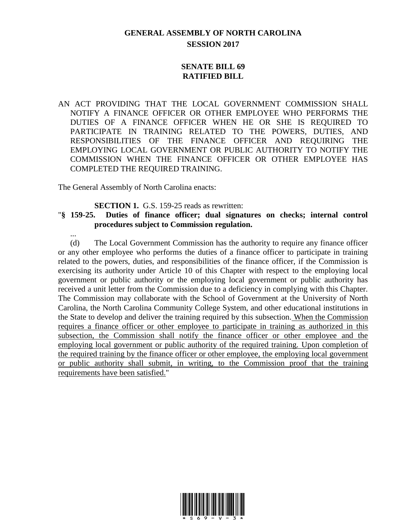## **GENERAL ASSEMBLY OF NORTH CAROLINA SESSION 2017**

## **SENATE BILL 69 RATIFIED BILL**

AN ACT PROVIDING THAT THE LOCAL GOVERNMENT COMMISSION SHALL NOTIFY A FINANCE OFFICER OR OTHER EMPLOYEE WHO PERFORMS THE DUTIES OF A FINANCE OFFICER WHEN HE OR SHE IS REQUIRED TO PARTICIPATE IN TRAINING RELATED TO THE POWERS, DUTIES, AND RESPONSIBILITIES OF THE FINANCE OFFICER AND REQUIRING THE EMPLOYING LOCAL GOVERNMENT OR PUBLIC AUTHORITY TO NOTIFY THE COMMISSION WHEN THE FINANCE OFFICER OR OTHER EMPLOYEE HAS COMPLETED THE REQUIRED TRAINING.

The General Assembly of North Carolina enacts:

...

**SECTION 1.** G.S. 159-25 reads as rewritten:

## "**§ 159-25. Duties of finance officer; dual signatures on checks; internal control procedures subject to Commission regulation.**

(d) The Local Government Commission has the authority to require any finance officer or any other employee who performs the duties of a finance officer to participate in training related to the powers, duties, and responsibilities of the finance officer, if the Commission is exercising its authority under Article 10 of this Chapter with respect to the employing local government or public authority or the employing local government or public authority has received a unit letter from the Commission due to a deficiency in complying with this Chapter. The Commission may collaborate with the School of Government at the University of North Carolina, the North Carolina Community College System, and other educational institutions in the State to develop and deliver the training required by this subsection. When the Commission requires a finance officer or other employee to participate in training as authorized in this subsection, the Commission shall notify the finance officer or other employee and the employing local government or public authority of the required training. Upon completion of the required training by the finance officer or other employee, the employing local government or public authority shall submit, in writing, to the Commission proof that the training requirements have been satisfied."